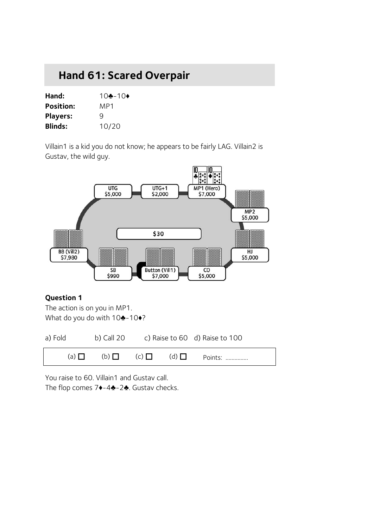# **Hand 61: Scared Overpair**

| Hand:            | 10♣-10♦ |
|------------------|---------|
| <b>Position:</b> | MP1     |
| <b>Players:</b>  | q       |
| <b>Blinds:</b>   | 10/20   |

Villain1 is a kid you do not know; he appears to be fairly LAG. Villain2 is Gustav, the wild guy.



#### **Question 1**

The action is on you in MP1. What do you do with 10♣-10♦?

| a) Fold    | b) Call 20 |                           | c) Raise to 60 d) Raise to 100 |
|------------|------------|---------------------------|--------------------------------|
| (a) $\Box$ |            | $(b)$ $\Box$ $(c)$ $\Box$ | $(d)$ $\Box$ Points:           |

You raise to 60. Villain1 and Gustav call. The flop comes 7♦-4♣-2♣. Gustav checks.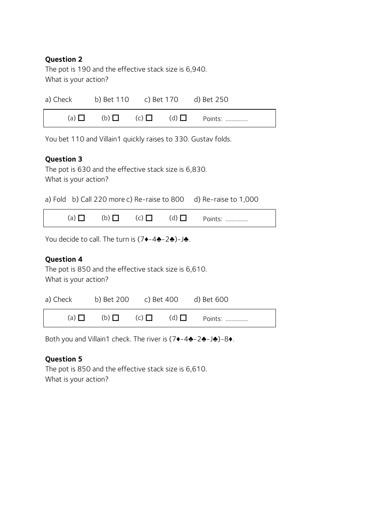### **Question 2**

The pot is 190 and the effective stack size is 6,940. What is your action?

| a) Check | b) Bet 110 c) Bet 170 d) Bet 250 |  |                                                     |
|----------|----------------------------------|--|-----------------------------------------------------|
|          |                                  |  | (a) $\Box$ (b) $\Box$ (c) $\Box$ (d) $\Box$ Points: |

You bet 110 and Villain1 quickly raises to 330. Gustav folds.

## **Question 3**

The pot is 630 and the effective stack size is 6,830. What is your action?

a) Fold b) Call 220 more c) Re-raise to 800 d) Re-raise to 1,000

(a)  $\Box$  (b)  $\Box$  (c)  $\Box$  (d)  $\Box$  Points: ................

You decide to call. The turn is (7♦-4♣-2♣)-J♣.

### **Question 4**

The pot is 850 and the effective stack size is 6,610. What is your action?

| a) Check b) Bet 200 c) Bet 400 d) Bet 600 |  |                                          |  |
|-------------------------------------------|--|------------------------------------------|--|
| $(a)$ $\Box$                              |  | (b) $\Box$ (c) $\Box$ (d) $\Box$ Points: |  |

Both you and Villain1 check. The river is (7♦-4♣-2♣-J♣)-8♦.

#### **Question 5**

The pot is 850 and the effective stack size is 6,610. What is your action?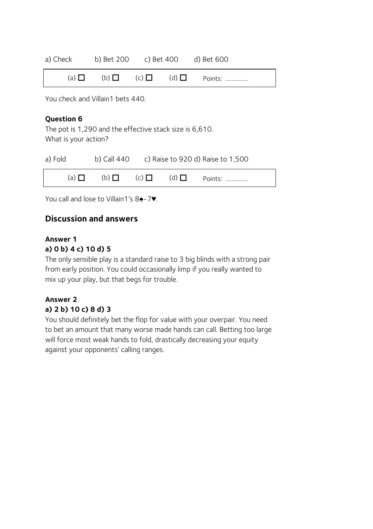| a) Check     | b) Bet 200 c) Bet 400 d) Bet 600       |  |         |  |
|--------------|----------------------------------------|--|---------|--|
| $(a)$ $\Box$ | $(b)$ $\Box$ $(c)$ $\Box$ $(d)$ $\Box$ |  | Points: |  |

You check and Villain1 bets 440.

### **Question 6**

The pot is 1,290 and the effective stack size is 6,610. What is your action?

| a) Fold      |                           |  | b) Call $440$ c) Raise to 920 d) Raise to 1,500 |
|--------------|---------------------------|--|-------------------------------------------------|
| $(a)$ $\Box$ | $(b)$ $\Box$ $(c)$ $\Box$ |  | $(d)$ $\Box$ Points:                            |

You call and lose to Villain1's 8♠-7♥.

## **Discussion and answers**

#### **Answer 1 a) 0 b) 4 c) 10 d) 5**

The only sensible play is a standard raise to 3 big blinds with a strong pair from early position. You could occasionally limp if you really wanted to mix up your play, but that begs for trouble.

## **Answer 2 a) 2 b) 10 c) 8 d) 3**

You should definitely bet the flop for value with your overpair. You need to bet an amount that many worse made hands can call. Betting too large will force most weak hands to fold, drastically decreasing your equity against your opponents' calling ranges.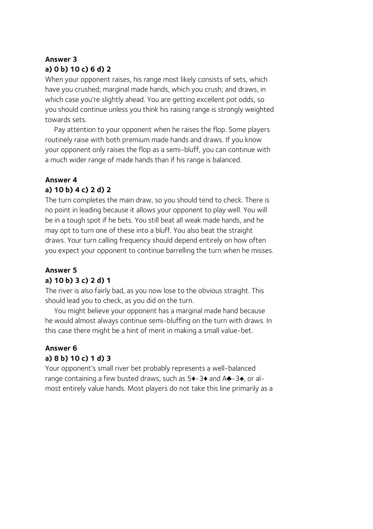# **Answer 3 a) 0 b) 10 c) 6 d) 2**

When your opponent raises, his range most likely consists of sets, which have you crushed; marginal made hands, which you crush; and draws, in which case you're slightly ahead. You are getting excellent pot odds, so you should continue unless you think his raising range is strongly weighted towards sets.

Pay attention to your opponent when he raises the flop. Some players routinely raise with both premium made hands and draws. If you know your opponent only raises the flop as a semi-bluff, you can continue with a much wider range of made hands than if his range is balanced.

# **Answer 4**

## **a) 10 b) 4 c) 2 d) 2**

The turn completes the main draw, so you should tend to check. There is no point in leading because it allows your opponent to play well. You will be in a tough spot if he bets. You still beat all weak made hands, and he may opt to turn one of these into a bluff. You also beat the straight draws. Your turn calling frequency should depend entirely on how often you expect your opponent to continue barrelling the turn when he misses.

## **Answer 5**

## **a) 10 b) 3 c) 2 d) 1**

The river is also fairly bad, as you now lose to the obvious straight. This should lead you to check, as you did on the turn.

You might believe your opponent has a marginal made hand because he would almost always continue semi-bluffing on the turn with draws. In this case there might be a hint of merit in making a small value-bet.

## **Answer 6 a) 8 b) 10 c) 1 d) 3**

Your opponent's small river bet probably represents a well-balanced range containing a few busted draws, such as 5♦-3♦ and A♣-3♠, or almost entirely value hands. Most players do not take this line primarily as a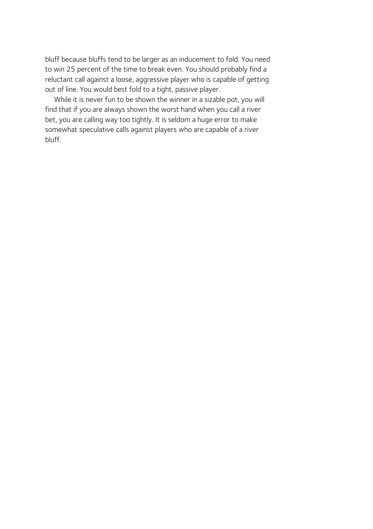bluff because bluffs tend to be larger as an inducement to fold. You need to win 25 percent of the time to break even. You should probably find a reluctant call against a loose, aggressive player who is capable of getting out of line. You would best fold to a tight, passive player.

While it is never fun to be shown the winner in a sizable pot, you will find that if you are always shown the worst hand when you call a river bet, you are calling way too tightly. It is seldom a huge error to make somewhat speculative calls against players who are capable of a river bluff.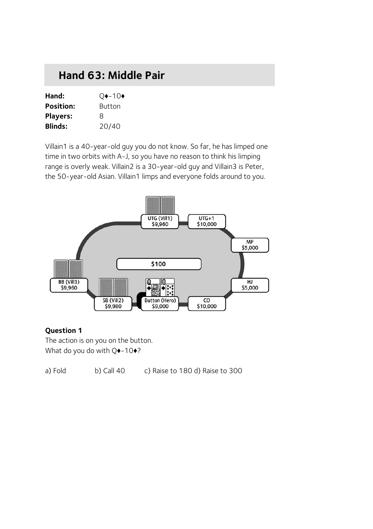# **Hand 63: Middle Pair**

| Hand:            | $Q$ $\rightarrow$ -10 $\bullet$ |
|------------------|---------------------------------|
| <b>Position:</b> | <b>Button</b>                   |
| <b>Players:</b>  | 8                               |
| <b>Blinds:</b>   | 20/40                           |

Villain1 is a 40-year-old guy you do not know. So far, he has limped one time in two orbits with A-J, so you have no reason to think his limping range is overly weak. Villain2 is a 30-year-old guy and Villain3 is Peter, the 50-year-old Asian. Villain1 limps and everyone folds around to you.



### **Question 1**

The action is on you on the button. What do you do with Q $\rightarrow$ -10 $\rightarrow$ ?

a) Fold b) Call 40 c) Raise to 180 d) Raise to 300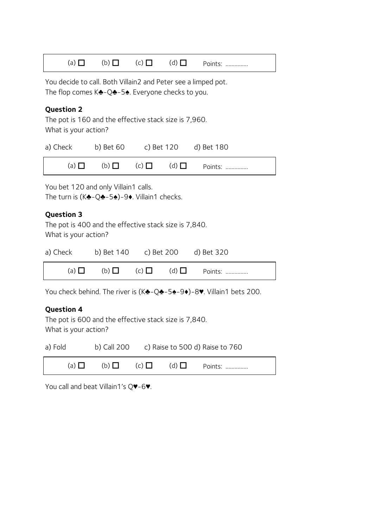| (a) $\Box$ | $(b)$ $\Box$ | $(c)$ $\Box$ | $(d)$ $\Box$ | Points:<br> |
|------------|--------------|--------------|--------------|-------------|
|------------|--------------|--------------|--------------|-------------|

You decide to call. Both Villain2 and Peter see a limped pot. The flop comes K♣-Q♣-5♠. Everyone checks to you.

#### **Question 2**

The pot is 160 and the effective stack size is 7,960. What is your action?

| a) Check   | b) Bet 60 |  | c) Bet 120 d) Bet 180                    |
|------------|-----------|--|------------------------------------------|
| (a) $\Box$ |           |  | (b) $\Box$ (c) $\Box$ (d) $\Box$ Points: |

You bet 120 and only Villain1 calls. The turn is (K♣-Q♣-5♠)-9♦. Villain1 checks.

#### **Question 3**

The pot is 400 and the effective stack size is 7,840. What is your action?

| a) Check   | b) Bet 140 c) Bet 200 d) Bet 320 |              |                      |
|------------|----------------------------------|--------------|----------------------|
| (a) $\Box$ | (b)                              | $(c)$ $\Box$ | $(d)$ $\Box$ Points: |

You check behind. The river is (K♣-Q♣-5♠-9♦)-8♥. Villain1 bets 200.

#### **Question 4**

The pot is 600 and the effective stack size is 7,840. What is your action?

| a) Fold      |              |              |              | b) Call 200 $\phantom{0}$ c) Raise to 500 d) Raise to 760 |  |
|--------------|--------------|--------------|--------------|-----------------------------------------------------------|--|
| $(a)$ $\Box$ | $(b)$ $\Box$ | $(C)$ $\Box$ | $(d)$ $\Box$ | Points:                                                   |  |

You call and beat Villain1's Q♥-6♥.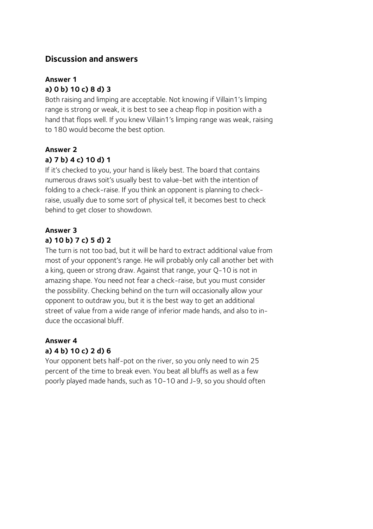## **Discussion and answers**

# **Answer 1 a) 0 b) 10 c) 8 d) 3**

Both raising and limping are acceptable. Not knowing if Villain1's limping range is strong or weak, it is best to see a cheap flop in position with a hand that flops well. If you knew Villain1's limping range was weak, raising to 180 would become the best option.

## **Answer 2**

## **a) 7 b) 4 c) 10 d) 1**

If it's checked to you, your hand is likely best. The board that contains numerous draws soit's usually best to value-bet with the intention of folding to a check-raise. If you think an opponent is planning to checkraise, usually due to some sort of physical tell, it becomes best to check behind to get closer to showdown.

## **Answer 3 a) 10 b) 7 c) 5 d) 2**

The turn is not too bad, but it will be hard to extract additional value from most of your opponent's range. He will probably only call another bet with a king, queen or strong draw. Against that range, your Q-10 is not in amazing shape. You need not fear a check-raise, but you must consider the possibility. Checking behind on the turn will occasionally allow your opponent to outdraw you, but it is the best way to get an additional street of value from a wide range of inferior made hands, and also to induce the occasional bluff.

## **Answer 4 a) 4 b) 10 c) 2 d) 6**

Your opponent bets half-pot on the river, so you only need to win 25 percent of the time to break even. You beat all bluffs as well as a few poorly played made hands, such as 10-10 and J-9, so you should often